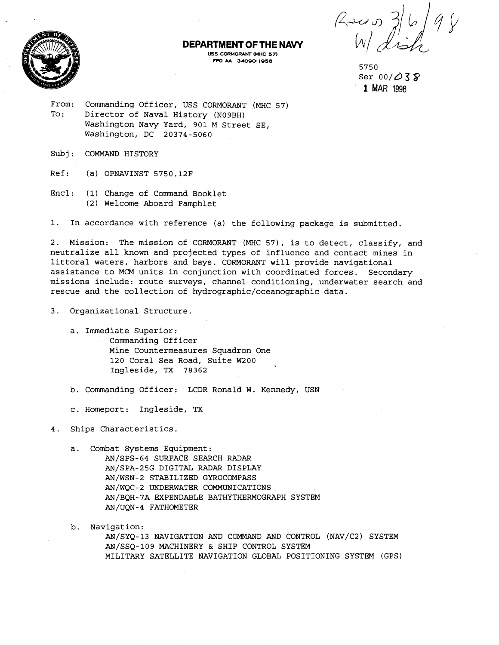**DEPARTMENT OF THE NAVY** 

USS CORMORANT (MHC 57) **FPO M 34000 1958** 

 $369$ <br>W dish

5750 ser 00/d3 **9**  ' **1 MAR <sup>1998</sup>**

From: Commanding Officer, USS CORMORANT (MHC 57) To: Director of Naval History (N09BH) Washington Navy Yard, 901 M Street SE, Washington, DC 20374-5060

Subj: COMMAND HISTORY

Ref: (a) OPNAVINST 5750.12F

Encl: (1) Change of Command Booklet (2) Welcome Aboard Pamphlet

1. In accordance with reference (a) the following package is submitted.

2. Mission: The mission of CORMORANT (MHC 57), is to detect, classify, and neutralize all known and projected types of influence and contact mines in littoral waters, harbors and bays. CORMORANT will provide navigational assistance to MCM units in conjunction with coordinated forces. Secondary missions include: route surveys, channel conditioning, underwater search and rescue and the collection of **hydrographic/oceanographic** data.

3. Organizational Structure.

a. Immediate Superior: Commanding Officer Mine Countermeasures Squadron One 120 Coral Sea Road, Suite W200 Ingleside, TX 78362

b. Commanding Officer: LCDR Ronald W. Kennedy, USN

c. Homeport: Ingleside, **TX** 

4. Ships Characteristics.

a. Combat Systems Equipment: AN/SPS-64 SURFACE SEARCH RADAR AN/SPA-25G DIGITAL RADAR DISPLAY AN/WSN-2 STABILIZED GYROCOMPASS AN/WQC-2 UNDERWATER COMMUNICATIONS AN/BQH-7A EXPENDABLE BATHYTHERMOGRAPH SYSTEM AN/UQN- 4 FATHOMETER

b. Navigation: AN/SYQ-13 NAVIGATION AND COMMAND AND CONTROL (NAV/C2) SYSTEM AN/SSQ-109 MACHINERY & SHIP CONTROL SYSTEM MILITARY SATELLITE NAVIGATION GLOBAL POSITIONING SYSTEM (GPS)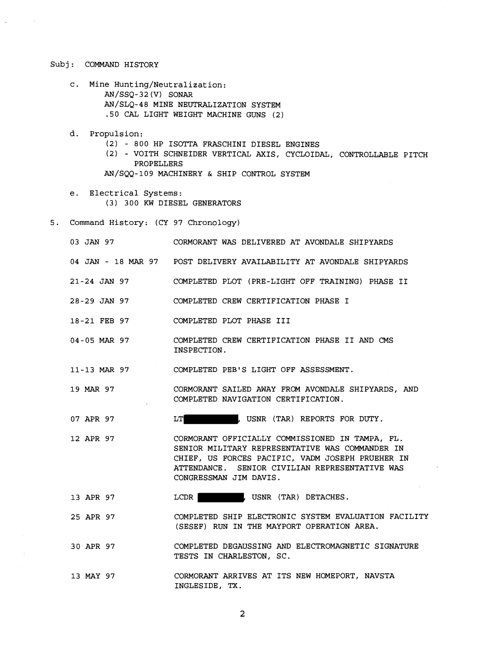## Subj: COMMAND HISTORY

 $\zeta$ 

- c. Mine Hunting/Neutralization: AN/SSQ-32 (V) SONAR AN/SLQ-48 MINE NEUTRALIZATION SYSTEM .50 CAL LIGHT WEIGHT MACHINE GUNS (2)
- d. Propulsion:
	- (2) 800 HP ISOTTA FRASCHINI DIESEL ENGINES
	- (2) VOITH SCHNEIDER VERTICAL AXIS, CYCLOIDAL, CONTROLLABLE PITCH PROPELLERS
	- AN/SQQ-109 MACHINERY & SHIP CONTROL SYSTEM
- e. Electrical Systems: (3) 300 KW DIESEL GENERATORS
- 5. Command History: (CY 97 Chronology)

| 03 JAN 97    | CORMORANT WAS DELIVERED AT AVONDALE SHIPYARDS                                                                                                                                                                                      |
|--------------|------------------------------------------------------------------------------------------------------------------------------------------------------------------------------------------------------------------------------------|
|              | 04 JAN - 18 MAR 97 POST DELIVERY AVAILABILITY AT AVONDALE SHIPYARDS                                                                                                                                                                |
| 21-24 JAN 97 | COMPLETED PLOT (PRE-LIGHT OFF TRAINING) PHASE II                                                                                                                                                                                   |
| 28-29 JAN 97 | COMPLETED CREW CERTIFICATION PHASE I                                                                                                                                                                                               |
| 18-21 FEB 97 | COMPLETED PLOT PHASE III                                                                                                                                                                                                           |
| 04-05 MAR 97 | COMPLETED CREW CERTIFICATION PHASE II AND CMS<br>INSPECTION.                                                                                                                                                                       |
| 11-13 MAR 97 | COMPLETED PEB'S LIGHT OFF ASSESSMENT.                                                                                                                                                                                              |
| 19 MAR 97    | CORMORANT SAILED AWAY FROM AVONDALE SHIPYARDS, AND<br>COMPLETED NAVIGATION CERTIFICATION.                                                                                                                                          |
| 07 APR 97    | , USNR (TAR) REPORTS FOR DUTY.<br>LT                                                                                                                                                                                               |
| 12 APR 97    | CORMORANT OFFICIALLY COMMISSIONED IN TAMPA, FL.<br>SENIOR MILITARY REPRESENTATIVE WAS COMMANDER IN<br>CHIEF, US FORCES PACIFIC, VADM JOSEPH PRUEHER IN<br>ATTENDANCE. SENIOR CIVILIAN REPRESENTATIVE WAS<br>CONGRESSMAN JIM DAVIS. |
| 13 APR 97    | , USNR (TAR) DETACHES.<br>LCDR                                                                                                                                                                                                     |
| 25 APR 97    | COMPLETED SHIP ELECTRONIC SYSTEM EVALUATION FACILITY<br>(SESEF) RUN IN THE MAYPORT OPERATION AREA.                                                                                                                                 |
| 30 APR 97    | COMPLETED DEGAUSSING AND ELECTROMAGNETIC SIGNATURE<br>TESTS IN CHARLESTON, SC.                                                                                                                                                     |
| 13 MAY 97    | CORMORANT ARRIVES AT ITS NEW HOMEPORT, NAVSTA<br>INGLESIDE, TX.                                                                                                                                                                    |